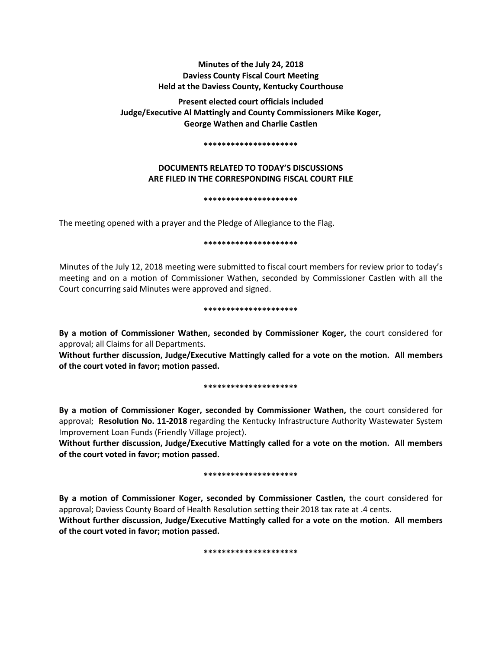# **Minutes of the July 24, 2018 Daviess County Fiscal Court Meeting Held at the Daviess County, Kentucky Courthouse**

**Present elected court officials included Judge/Executive Al Mattingly and County Commissioners Mike Koger, George Wathen and Charlie Castlen** 

### **\*\*\*\*\*\*\*\*\*\*\*\*\*\*\*\*\*\*\*\*\***

# **DOCUMENTS RELATED TO TODAY'S DISCUSSIONS ARE FILED IN THE CORRESPONDING FISCAL COURT FILE**

## **\*\*\*\*\*\*\*\*\*\*\*\*\*\*\*\*\*\*\*\*\***

The meeting opened with a prayer and the Pledge of Allegiance to the Flag.

## **\*\*\*\*\*\*\*\*\*\*\*\*\*\*\*\*\*\*\*\*\***

Minutes of the July 12, 2018 meeting were submitted to fiscal court members for review prior to today's meeting and on a motion of Commissioner Wathen, seconded by Commissioner Castlen with all the Court concurring said Minutes were approved and signed.

## **\*\*\*\*\*\*\*\*\*\*\*\*\*\*\*\*\*\*\*\*\***

**By a motion of Commissioner Wathen, seconded by Commissioner Koger,** the court considered for approval; all Claims for all Departments.

**Without further discussion, Judge/Executive Mattingly called for a vote on the motion. All members of the court voted in favor; motion passed.** 

## **\*\*\*\*\*\*\*\*\*\*\*\*\*\*\*\*\*\*\*\*\***

**By a motion of Commissioner Koger, seconded by Commissioner Wathen,** the court considered for approval; **Resolution No. 11-2018** regarding the Kentucky Infrastructure Authority Wastewater System Improvement Loan Funds (Friendly Village project).

**Without further discussion, Judge/Executive Mattingly called for a vote on the motion. All members of the court voted in favor; motion passed.** 

## **\*\*\*\*\*\*\*\*\*\*\*\*\*\*\*\*\*\*\*\*\***

**By a motion of Commissioner Koger, seconded by Commissioner Castlen,** the court considered for approval; Daviess County Board of Health Resolution setting their 2018 tax rate at .4 cents. **Without further discussion, Judge/Executive Mattingly called for a vote on the motion. All members** 

**of the court voted in favor; motion passed.** 

**\*\*\*\*\*\*\*\*\*\*\*\*\*\*\*\*\*\*\*\*\***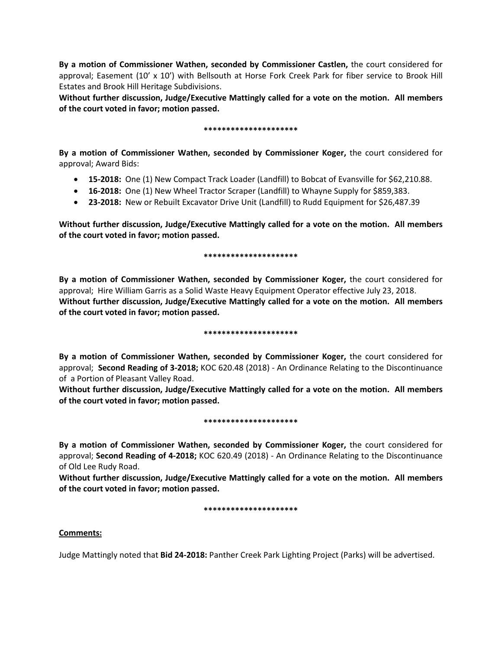**By a motion of Commissioner Wathen, seconded by Commissioner Castlen,** the court considered for approval; Easement (10' x 10') with Bellsouth at Horse Fork Creek Park for fiber service to Brook Hill Estates and Brook Hill Heritage Subdivisions.

**Without further discussion, Judge/Executive Mattingly called for a vote on the motion. All members of the court voted in favor; motion passed.** 

## **\*\*\*\*\*\*\*\*\*\*\*\*\*\*\*\*\*\*\*\*\***

**By a motion of Commissioner Wathen, seconded by Commissioner Koger,** the court considered for approval; Award Bids:

- **15-2018:** One (1) New Compact Track Loader (Landfill) to Bobcat of Evansville for \$62,210.88.
- **16-2018:** One (1) New Wheel Tractor Scraper (Landfill) to Whayne Supply for \$859,383.
- **23-2018:** New or Rebuilt Excavator Drive Unit (Landfill) to Rudd Equipment for \$26,487.39

**Without further discussion, Judge/Executive Mattingly called for a vote on the motion. All members of the court voted in favor; motion passed.** 

## **\*\*\*\*\*\*\*\*\*\*\*\*\*\*\*\*\*\*\*\*\***

**By a motion of Commissioner Wathen, seconded by Commissioner Koger,** the court considered for approval; Hire William Garris as a Solid Waste Heavy Equipment Operator effective July 23, 2018. **Without further discussion, Judge/Executive Mattingly called for a vote on the motion. All members of the court voted in favor; motion passed.** 

## **\*\*\*\*\*\*\*\*\*\*\*\*\*\*\*\*\*\*\*\*\***

**By a motion of Commissioner Wathen, seconded by Commissioner Koger,** the court considered for approval; **Second Reading of 3-2018;** KOC 620.48 (2018) - An Ordinance Relating to the Discontinuance of a Portion of Pleasant Valley Road.

**Without further discussion, Judge/Executive Mattingly called for a vote on the motion. All members of the court voted in favor; motion passed.** 

## **\*\*\*\*\*\*\*\*\*\*\*\*\*\*\*\*\*\*\*\*\***

**By a motion of Commissioner Wathen, seconded by Commissioner Koger,** the court considered for approval; **Second Reading of 4-2018;** KOC 620.49 (2018) - An Ordinance Relating to the Discontinuance of Old Lee Rudy Road.

**Without further discussion, Judge/Executive Mattingly called for a vote on the motion. All members of the court voted in favor; motion passed.** 

## **\*\*\*\*\*\*\*\*\*\*\*\*\*\*\*\*\*\*\*\*\***

# **Comments:**

Judge Mattingly noted that **Bid 24-2018:** Panther Creek Park Lighting Project (Parks) will be advertised.